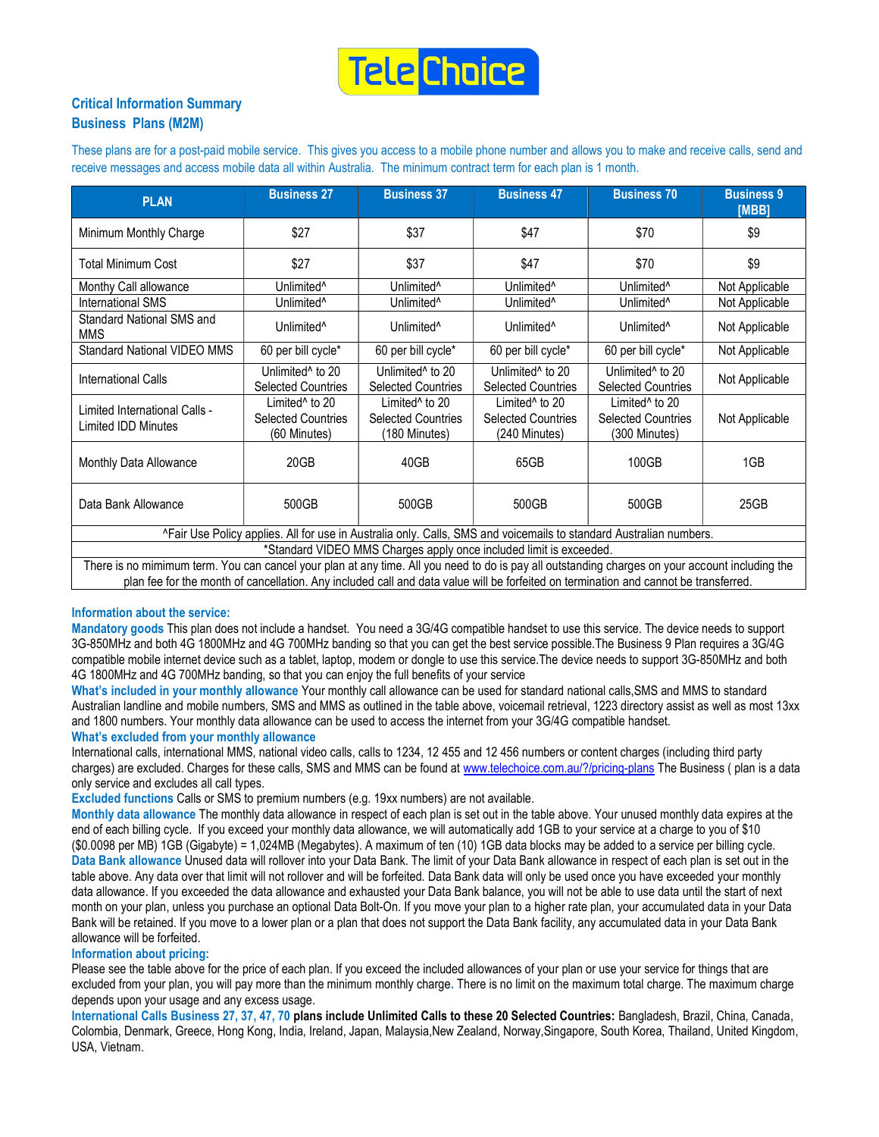

## Critical Information Summary Business Plans (M2M)

These plans are for a post-paid mobile service. This gives you access to a mobile phone number and allows you to make and receive calls, send and receive messages and access mobile data all within Australia. The minimum contract term for each plan is 1 month.

| <b>PLAN</b>                                                                                                                                    | <b>Business 27</b>                                                      | <b>Business 37</b>                                                       | <b>Business 47</b>                                                       | <b>Business 70</b>                                                       | <b>Business 9</b><br>[MBB] |  |  |  |
|------------------------------------------------------------------------------------------------------------------------------------------------|-------------------------------------------------------------------------|--------------------------------------------------------------------------|--------------------------------------------------------------------------|--------------------------------------------------------------------------|----------------------------|--|--|--|
| Minimum Monthly Charge                                                                                                                         | \$27                                                                    | \$37                                                                     | \$47                                                                     | \$70                                                                     | \$9                        |  |  |  |
| Total Minimum Cost                                                                                                                             | \$27                                                                    | \$37                                                                     | \$47                                                                     | \$70                                                                     | \$9                        |  |  |  |
| Monthy Call allowance                                                                                                                          | Unlimited <sup>^</sup>                                                  | Unlimited <sup>^</sup>                                                   | Unlimited <sup>^</sup>                                                   | Unlimited <sup>^</sup>                                                   | Not Applicable             |  |  |  |
| International SMS                                                                                                                              | Unlimited <sup>^</sup>                                                  | Unlimited <sup>^</sup>                                                   | Unlimited <sup>^</sup>                                                   | Unlimited <sup>^</sup>                                                   | Not Applicable             |  |  |  |
| Standard National SMS and<br><b>MMS</b>                                                                                                        | Unlimited <sup>^</sup>                                                  | Unlimited <sup>^</sup>                                                   | Unlimited <sup>^</sup>                                                   | Unlimited <sup>^</sup>                                                   | Not Applicable             |  |  |  |
| <b>Standard National VIDEO MMS</b>                                                                                                             | 60 per bill cycle*                                                      | 60 per bill cycle*                                                       | 60 per bill cycle*                                                       | 60 per bill cycle*                                                       | Not Applicable             |  |  |  |
| International Calls                                                                                                                            | Unlimited <sup>^</sup> to 20<br><b>Selected Countries</b>               | Unlimited <sup>^</sup> to 20<br><b>Selected Countries</b>                | Unlimited <sup>^</sup> to 20<br><b>Selected Countries</b>                | Unlimited <sup>^</sup> to 20<br><b>Selected Countries</b>                | Not Applicable             |  |  |  |
| Limited International Calls -<br>Limited IDD Minutes                                                                                           | Limited <sup>^</sup> to 20<br><b>Selected Countries</b><br>(60 Minutes) | Limited <sup>^</sup> to 20<br><b>Selected Countries</b><br>(180 Minutes) | Limited <sup>^</sup> to 20<br><b>Selected Countries</b><br>(240 Minutes) | Limited <sup>^</sup> to 20<br><b>Selected Countries</b><br>(300 Minutes) | Not Applicable             |  |  |  |
| Monthly Data Allowance                                                                                                                         | 20GB                                                                    | 40GB                                                                     | 65GB                                                                     | 100GB                                                                    | 1GB                        |  |  |  |
| Data Bank Allowance                                                                                                                            | 500GB                                                                   | 500GB                                                                    | 500GB                                                                    | 500GB                                                                    | 25GB                       |  |  |  |
| ^Fair Use Policy applies. All for use in Australia only. Calls, SMS and voicemails to standard Australian numbers.                             |                                                                         |                                                                          |                                                                          |                                                                          |                            |  |  |  |
| *Standard VIDEO MMS Charges apply once included limit is exceeded.                                                                             |                                                                         |                                                                          |                                                                          |                                                                          |                            |  |  |  |
| There is no mimimum term You can cancel your plan at any time. All you need to do is nay all outstanding charges on your account including the |                                                                         |                                                                          |                                                                          |                                                                          |                            |  |  |  |

There is no mimimum term. You can cancel your plan at any time. All you need to do is pay all outstanding charges on your account including the plan fee for the month of cancellation. Any included call and data value will be forfeited on termination and cannot be transferred.

#### Information about the service:

Mandatory goods This plan does not include a handset. You need a 3G/4G compatible handset to use this service. The device needs to support 3G-850MHz and both 4G 1800MHz and 4G 700MHz banding so that you can get the best service possible.The Business 9 Plan requires a 3G/4G compatible mobile internet device such as a tablet, laptop, modem or dongle to use this service.The device needs to support 3G-850MHz and both 4G 1800MHz and 4G 700MHz banding, so that you can enjoy the full benefits of your service

What's included in your monthly allowance Your monthly call allowance can be used for standard national calls,SMS and MMS to standard Australian landline and mobile numbers, SMS and MMS as outlined in the table above, voicemail retrieval, 1223 directory assist as well as most 13xx and 1800 numbers. Your monthly data allowance can be used to access the internet from your 3G/4G compatible handset.

### What's excluded from your monthly allowance

International calls, international MMS, national video calls, calls to 1234, 12 455 and 12 456 numbers or content charges (including third party charges) are excluded. Charges for these calls, SMS and MMS can be found at www.telechoice.com.au/?/pricing-plans The Business ( plan is a data only service and excludes all call types.

Excluded functions Calls or SMS to premium numbers (e.g. 19xx numbers) are not available.

Monthly data allowance The monthly data allowance in respect of each plan is set out in the table above. Your unused monthly data expires at the end of each billing cycle. If you exceed your monthly data allowance, we will automatically add 1GB to your service at a charge to you of \$10 (\$0.0098 per MB) 1GB (Gigabyte) = 1,024MB (Megabytes). A maximum of ten (10) 1GB data blocks may be added to a service per billing cycle. Data Bank allowance Unused data will rollover into your Data Bank. The limit of your Data Bank allowance in respect of each plan is set out in the table above. Any data over that limit will not rollover and will be forfeited. Data Bank data will only be used once you have exceeded your monthly data allowance. If you exceeded the data allowance and exhausted your Data Bank balance, you will not be able to use data until the start of next month on your plan, unless you purchase an optional Data Bolt-On. If you move your plan to a higher rate plan, your accumulated data in your Data Bank will be retained. If you move to a lower plan or a plan that does not support the Data Bank facility, any accumulated data in your Data Bank allowance will be forfeited.

#### Information about pricing:

Please see the table above for the price of each plan. If you exceed the included allowances of your plan or use your service for things that are excluded from your plan, you will pay more than the minimum monthly charge. There is no limit on the maximum total charge. The maximum charge depends upon your usage and any excess usage.

International Calls Business 27, 37, 47, 70 plans include Unlimited Calls to these 20 Selected Countries: Bangladesh, Brazil, China, Canada, Colombia, Denmark, Greece, Hong Kong, India, Ireland, Japan, Malaysia,New Zealand, Norway,Singapore, South Korea, Thailand, United Kingdom, USA, Vietnam.